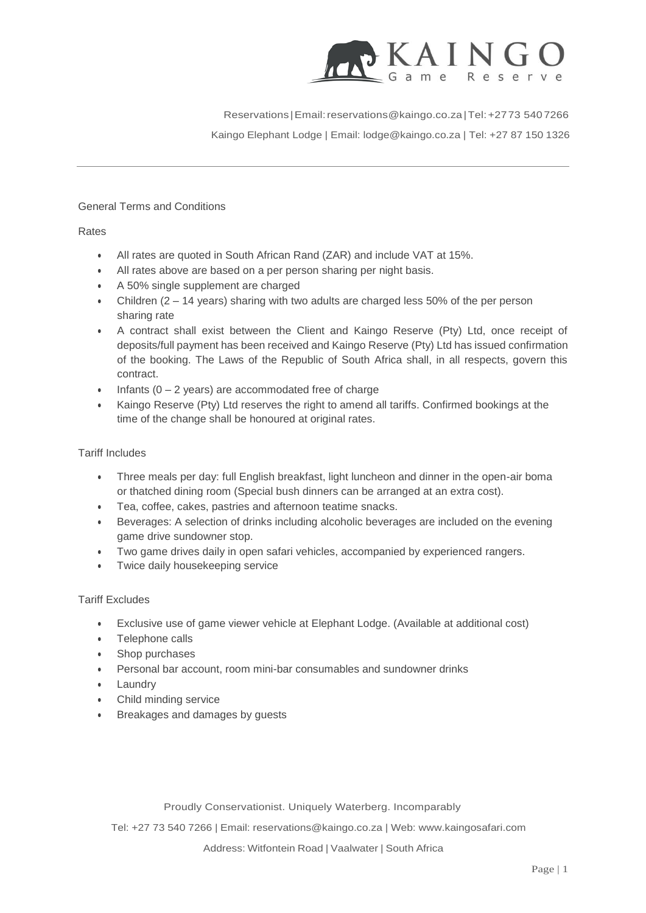

Reservations |Email[:reservations@kaingo.co.za|](mailto:reservations@kaingo.co.za)Tel:+2773 5407266  $\mathbf{w} = \mathbf{w} \cdot \mathbf{w}$ Kaingo Elephant Lodge | Email: [lodge@kaingo.co.za](mailto:lodge@kaingo.co.za) | Tel: +27 87 150 1326

## General Terms and Conditions

Rates

- All rates are quoted in South African Rand (ZAR) and include VAT at 15%.
- All rates above are based on a per person sharing per night basis.
- A 50% single supplement are charged
- Children  $(2 14$  years) sharing with two adults are charged less 50% of the per person sharing rate
- A contract shall exist between the Client and Kaingo Reserve (Pty) Ltd, once receipt of deposits/full payment has been received and Kaingo Reserve (Pty) Ltd has issued confirmation of the booking. The Laws of the Republic of South Africa shall, in all respects, govern this contract.
- Infants  $(0 2$  years) are accommodated free of charge
- Kaingo Reserve (Pty) Ltd reserves the right to amend all tariffs. Confirmed bookings at the time of the change shall be honoured at original rates.

## Tariff Includes

- Three meals per day: full English breakfast, light luncheon and dinner in the open-air boma or thatched dining room (Special bush dinners can be arranged at an extra cost).
- Tea, coffee, cakes, pastries and afternoon teatime snacks.
- Beverages: A selection of drinks including alcoholic beverages are included on the evening game drive sundowner stop.
- Two game drives daily in open safari vehicles, accompanied by experienced rangers.
- Twice daily housekeeping service

#### Tariff Excludes

- Exclusive use of game viewer vehicle at Elephant Lodge. (Available at additional cost)
- Telephone calls
- Shop purchases
- Personal bar account, room mini-bar consumables and sundowner drinks
- **Laundry**
- Child minding service
- Breakages and damages by guests

Proudly Conservationist. Uniquely Waterberg. Incomparably

Tel: +27 73 540 7266 | Email: [reservations@kaingo.co.za](mailto:reservations@kaingo.co.za) | Web: [www.kaingosafari.com](http://www.kaingosafari.com/)

Address: Witfontein Road | Vaalwater | South Africa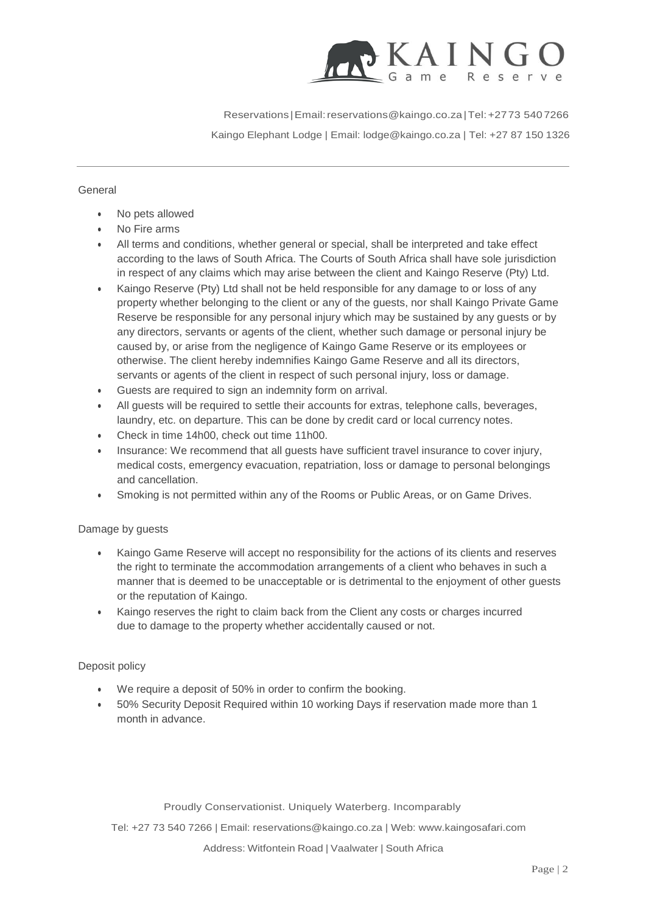

Reservations |Email[:reservations@kaingo.co.za|](mailto:reservations@kaingo.co.za)Tel:+2773 5407266  $\mathbf{w} = \mathbf{w} \cdot \mathbf{w}$ Kaingo Elephant Lodge | Email: [lodge@kaingo.co.za](mailto:lodge@kaingo.co.za) | Tel: +27 87 150 1326

## General

- No pets allowed
- No Fire arms
- All terms and conditions, whether general or special, shall be interpreted and take effect according to the laws of South Africa. The Courts of South Africa shall have sole jurisdiction in respect of any claims which may arise between the client and Kaingo Reserve (Pty) Ltd.
- Kaingo Reserve (Pty) Ltd shall not be held responsible for any damage to or loss of any property whether belonging to the client or any of the guests, nor shall Kaingo Private Game Reserve be responsible for any personal injury which may be sustained by any guests or by any directors, servants or agents of the client, whether such damage or personal injury be caused by, or arise from the negligence of Kaingo Game Reserve or its employees or otherwise. The client hereby indemnifies Kaingo Game Reserve and all its directors, servants or agents of the client in respect of such personal injury, loss or damage.
- Guests are required to sign an indemnity form on arrival.
- All guests will be required to settle their accounts for extras, telephone calls, beverages, laundry, etc. on departure. This can be done by credit card or local currency notes.
- Check in time 14h00, check out time 11h00.
- Insurance: We recommend that all guests have sufficient travel insurance to cover injury, medical costs, emergency evacuation, repatriation, loss or damage to personal belongings and cancellation.
- Smoking is not permitted within any of the Rooms or Public Areas, or on Game Drives.

# Damage by guests

- Kaingo Game Reserve will accept no responsibility for the actions of its clients and reserves the right to terminate the accommodation arrangements of a client who behaves in such a manner that is deemed to be unacceptable or is detrimental to the enjoyment of other guests or the reputation of Kaingo.
- Kaingo reserves the right to claim back from the Client any costs or charges incurred due to damage to the property whether accidentally caused or not.

# Deposit policy

- We require a deposit of 50% in order to confirm the booking.
- 50% Security Deposit Required within 10 working Days if reservation made more than 1 month in advance.

Proudly Conservationist. Uniquely Waterberg. Incomparably

Tel: +27 73 540 7266 | Email: [reservations@kaingo.co.za](mailto:reservations@kaingo.co.za) | Web: [www.kaingosafari.com](http://www.kaingosafari.com/)

Address: Witfontein Road | Vaalwater | South Africa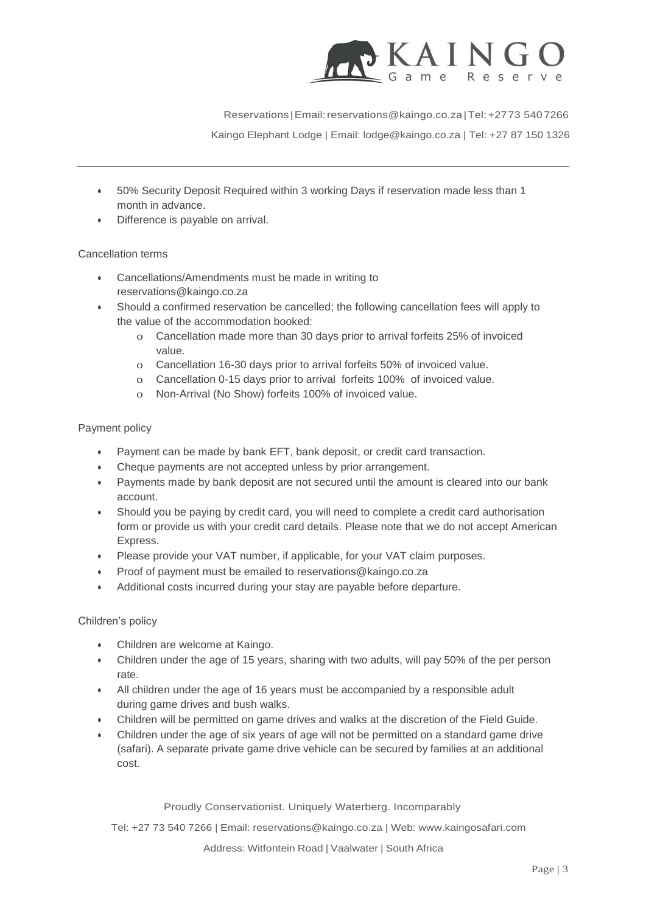

Reservations |Email[:reservations@kaingo.co.za|](mailto:reservations@kaingo.co.za)Tel:+2773 5407266

 $\mathbf{w} = \mathbf{w} \cdot \mathbf{w}$ Kaingo Elephant Lodge | Email: [lodge@kaingo.co.za](mailto:lodge@kaingo.co.za) | Tel: +27 87 150 1326

- 50% Security Deposit Required within 3 working Days if reservation made less than 1 month in advance.
- Difference is payable on arrival.

# Cancellation terms

- Cancellations/Amendments must be made in writing t[o](mailto:reservations@kaingo.co.za) [reservations@kaingo.co.za](mailto:reservations@kaingo.co.za)
- Should a confirmed reservation be cancelled; the following cancellation fees will apply to the value of the accommodation booked:
	- o Cancellation made more than 30 days prior to arrival forfeits 25% of invoiced value.
	- o Cancellation 16-30 days prior to arrival forfeits 50% of invoiced value.
	- o Cancellation 0-15 days prior to arrival forfeits 100% of invoiced value.
	- o Non-Arrival (No Show) forfeits 100% of invoiced value.

#### Payment policy

- Payment can be made by bank EFT, bank deposit, or credit card transaction.
- Cheque payments are not accepted unless by prior arrangement.
- Payments made by bank deposit are not secured until the amount is cleared into our bank account.
- Should you be paying by credit card, you will need to complete a credit card authorisation form or provide us with your credit card details. Please note that we do not accept American Express.
- Please provide your VAT number, if applicable, for your VAT claim purposes.
- Proof of payment must be emailed to [reservations@kaingo.co.za](mailto:reservations@kaingo.co.za)
- Additional costs incurred during your stay are payable before departure.

# Children's policy

- Children are welcome at Kaingo.
- Children under the age of 15 years, sharing with two adults, will pay 50% of the per person rate.
- All children under the age of 16 years must be accompanied by a responsible adult during game drives and bush walks.
- Children will be permitted on game drives and walks at the discretion of the Field Guide.
- Children under the age of six years of age will not be permitted on a standard game drive (safari). A separate private game drive vehicle can be secured by families at an additional cost.

#### Proudly Conservationist. Uniquely Waterberg. Incomparably

Tel: +27 73 540 7266 | Email: [reservations@kaingo.co.za](mailto:reservations@kaingo.co.za) | Web: [www.kaingosafari.com](http://www.kaingosafari.com/)

Address: Witfontein Road | Vaalwater | South Africa